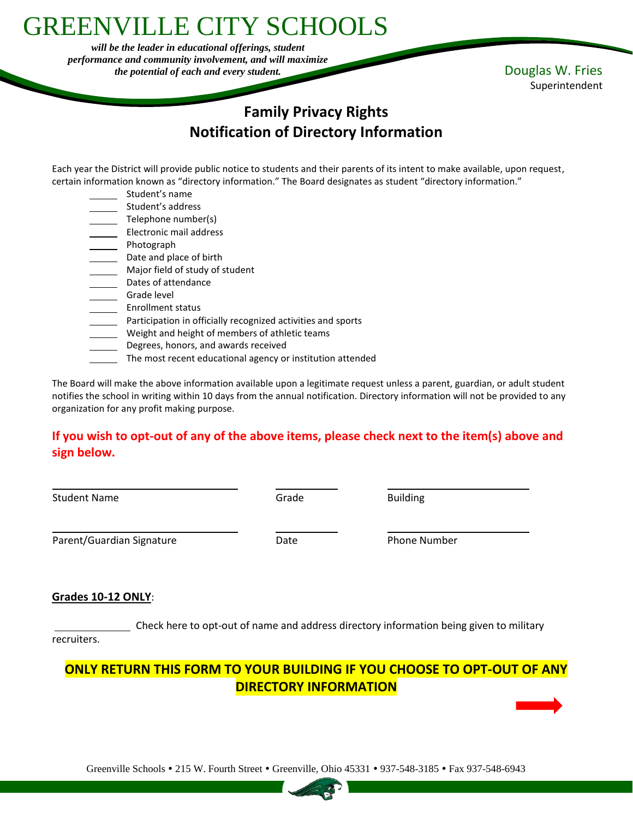# GREENVILLE CITY SCHOOLS

*will be the leader in educational offerings, student performance and community involvement, and will maximize the potential of each and every student.* Douglas W. Fries

Superintendent

# **Family Privacy Rights Notification of Directory Information**

Each year the District will provide public notice to students and their parents of its intent to make available, upon request, certain information known as "directory information." The Board designates as student "directory information."

- Student's name
- Student's address
- Telephone number(s)
- \_\_ Electronic mail address
- \_ Photograph
- Date and place of birth
- Major field of study of student
- Dates of attendance
- \_ Grade level
- Enrollment status
- Participation in officially recognized activities and sports
- Weight and height of members of athletic teams
- Degrees, honors, and awards received
- The most recent educational agency or institution attended

The Board will make the above information available upon a legitimate request unless a parent, guardian, or adult student notifies the school in writing within 10 days from the annual notification. Directory information will not be provided to any organization for any profit making purpose.

### **If you wish to opt-out of any of the above items, please check next to the item(s) above and sign below.**

| <b>Student Name</b>       | Grade | <b>Building</b>     |
|---------------------------|-------|---------------------|
| Parent/Guardian Signature | Date  | <b>Phone Number</b> |

#### **Grades 10-12 ONLY**:

Check here to opt-out of name and address directory information being given to military recruiters.

## **ONLY RETURN THIS FORM TO YOUR BUILDING IF YOU CHOOSE TO OPT-OUT OF ANY DIRECTORY INFORMATION**

Greenville Schools • 215 W. Fourth Street • Greenville, Ohio 45331 • 937-548-3185 • Fax 937-548-6943